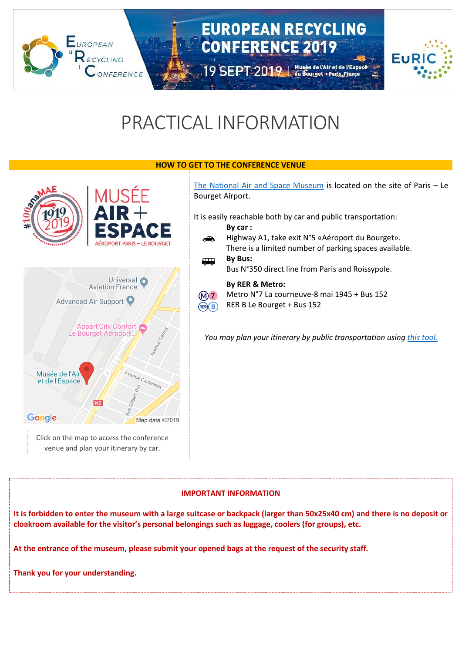## **EUROPEAN RECYCLING CONFERENCE 2019**

19 SEPT 2019 | Musée de l'Air et de l'Espace



# PRACTICAL INFORMATION

#### **HOW TO GET TO THE CONFERENCE VENUE**



**EUROPEAN** 

ECVCLING

ONFERENCE

[The National Air and Space Museum](https://www.museeairespace.fr/en/) is located on the site of Paris – Le Bourget Airport.

It is easily reachable both by car and public transportation:

- **By car :** Highway A1, take exit N°5 «Aéroport du Bourget». ക There is a limited number of parking spaces available.
- **By Bus:**  $\overline{a}$ Bus N°350 direct line from Paris and Roissypole.

### **By RER & Metro:**

Metro N°7 La courneuve-8 mai 1945 + Bus 152  $(M)7$ 

RER B Le Bourget + Bus 152  $(RER)$  $(B)$ 

*You may plan your itinerary by public transportation using [this tool.](https://www.ratp.fr/en/itineraires)*

### **IMPORTANT INFORMATION**

**It is forbidden to enter the museum with a large suitcase or backpack (larger than 50x25x40 cm) and there is no deposit or cloakroom available for the visitor's personal belongings such as luggage, coolers (for groups), etc.** 

**At the entrance of the museum, please submit your opened bags at the request of the security staff.** 

**Thank you for your understanding.**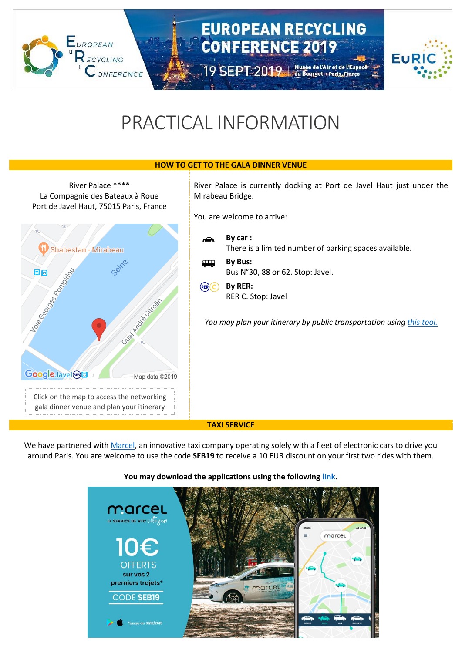## **EUROPEAN RECYCLING CONFERENCE 2019**

19 SEPT 2019 | Musée de l'Air et de l'Espace



# PRACTICAL INFORMATION

#### **HOW TO GET TO THE GALA DINNER VENUE**

River Palace \*\*\*\* La Compagnie des Bateaux à Roue Port de Javel Haut, 75015 Paris, France Shabestan - Mirabeau 日日 boie Geography E Introduction of Quair **Google** Javel ® Map data ©2019 Click on the map to access the networking gala dinner venue and plan your itinerary by car.

**EUROPEAN** 

NFERENCE

River Palace is currently docking at Port de Javel Haut just under the Mirabeau Bridge.

You are welcome to arrive:

|        | $Bv$ car :<br>There is a limited number of parking spaces available. |
|--------|----------------------------------------------------------------------|
| 4 July | By Bus:<br>Bus N°30, 88 or 62. Stop: Javel.                          |
| (RER)  | By RER:<br>RER C. Stop: Javel                                        |

*You may plan your itinerary by public transportation using [this tool.](https://www.ratp.fr/en/itineraires)*

#### **TAXI SERVICE**

We have partnered wit[h Marcel,](https://marcel.onelink.me/XgCe/d32c6e58) an innovative taxi company operating solely with a fleet of electronic cars to drive you around Paris. You are welcome to use the code **SEB19** to receive a 10 EUR discount on your first two rides with them.

#### **You may download the applications using the following [link.](https://marcel.onelink.me/XgCe/d32c6e58)**